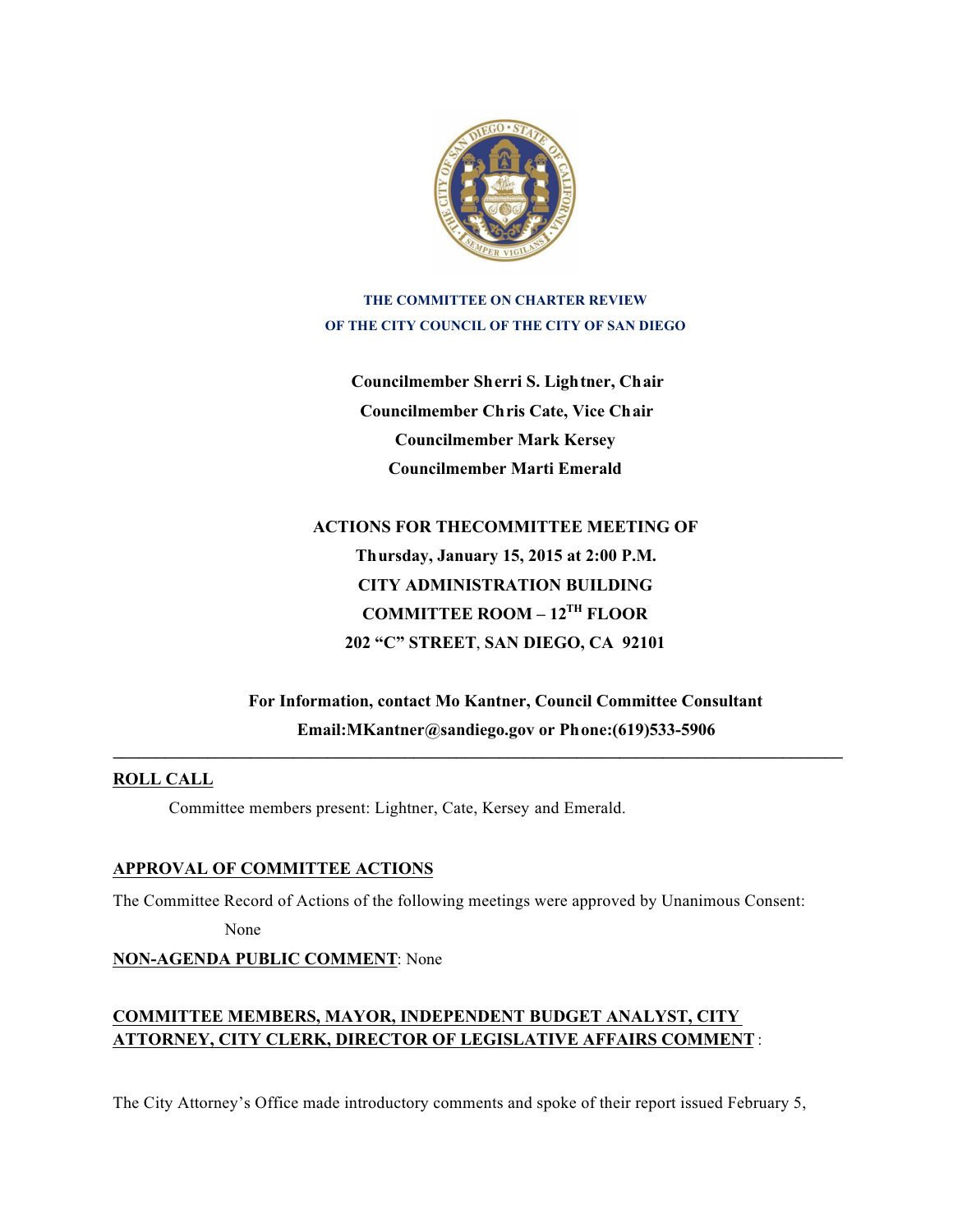

**THE COMMITTEE ON CHARTER REVIEW OF THE CITY COUNCIL OF THE CITY OF SAN DIEGO**

**Councilmember Sherri S. Lightner, Chair Councilmember Chris Cate, Vice Chair Councilmember Mark Kersey Councilmember Marti Emerald**

**ACTIONS FOR THECOMMITTEE MEETING OF Thursday, January 15, 2015 at 2:00 P.M. CITY ADMINISTRATION BUILDING COMMITTEE ROOM – 12TH FLOOR 202 "C" STREET**, **SAN DIEGO, CA 92101**

**For Information, contact Mo Kantner, Council Committee Consultant Email:MKantner@sandiego.gov or Phone:(619)533-5906**

## **ROLL CALL**

Committee members present: Lightner, Cate, Kersey and Emerald.

## **APPROVAL OF COMMITTEE ACTIONS**

The Committee Record of Actions of the following meetings were approved by Unanimous Consent:

None

#### **NON-AGENDA PUBLIC COMMENT**: None

# **COMMITTEE MEMBERS, MAYOR, INDEPENDENT BUDGET ANALYST, CITY ATTORNEY, CITY CLERK, DIRECTOR OF LEGISLATIVE AFFAIRS COMMENT** :

The City Attorney's Office made introductory comments and spoke of their report issued February 5,